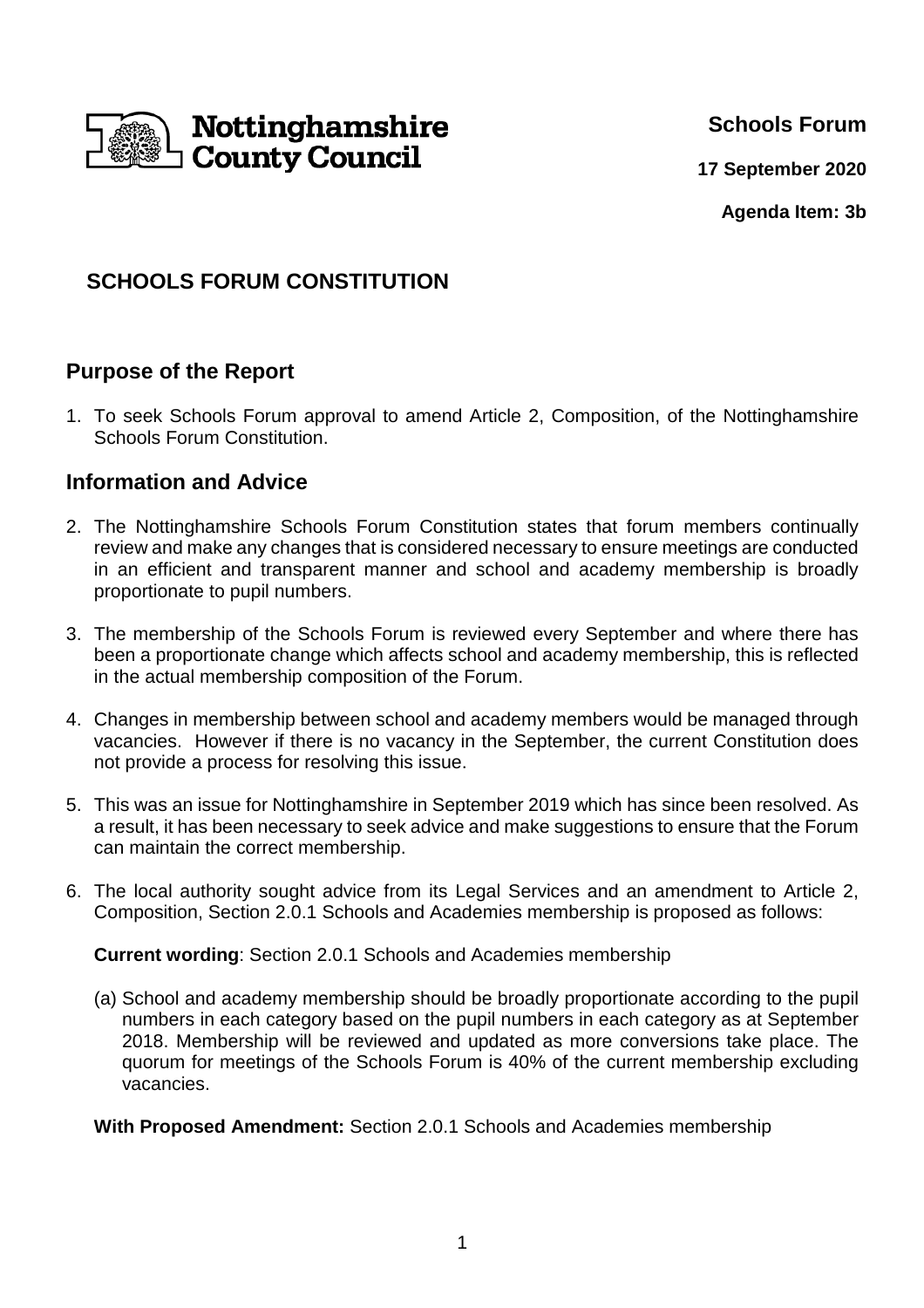

**Schools Forum**

**17 September 2020**

**Agenda Item: 3b**

# **SCHOOLS FORUM CONSTITUTION**

## **Purpose of the Report**

1. To seek Schools Forum approval to amend Article 2, Composition, of the Nottinghamshire Schools Forum Constitution.

### **Information and Advice**

- 2. The Nottinghamshire Schools Forum Constitution states that forum members continually review and make any changes that is considered necessary to ensure meetings are conducted in an efficient and transparent manner and school and academy membership is broadly proportionate to pupil numbers.
- 3. The membership of the Schools Forum is reviewed every September and where there has been a proportionate change which affects school and academy membership, this is reflected in the actual membership composition of the Forum.
- 4. Changes in membership between school and academy members would be managed through vacancies. However if there is no vacancy in the September, the current Constitution does not provide a process for resolving this issue.
- 5. This was an issue for Nottinghamshire in September 2019 which has since been resolved. As a result, it has been necessary to seek advice and make suggestions to ensure that the Forum can maintain the correct membership.
- 6. The local authority sought advice from its Legal Services and an amendment to Article 2, Composition, Section 2.0.1 Schools and Academies membership is proposed as follows:

**Current wording**: Section 2.0.1 Schools and Academies membership

- (a) School and academy membership should be broadly proportionate according to the pupil numbers in each category based on the pupil numbers in each category as at September 2018. Membership will be reviewed and updated as more conversions take place. The quorum for meetings of the Schools Forum is 40% of the current membership excluding vacancies.
- **With Proposed Amendment:** Section 2.0.1 Schools and Academies membership